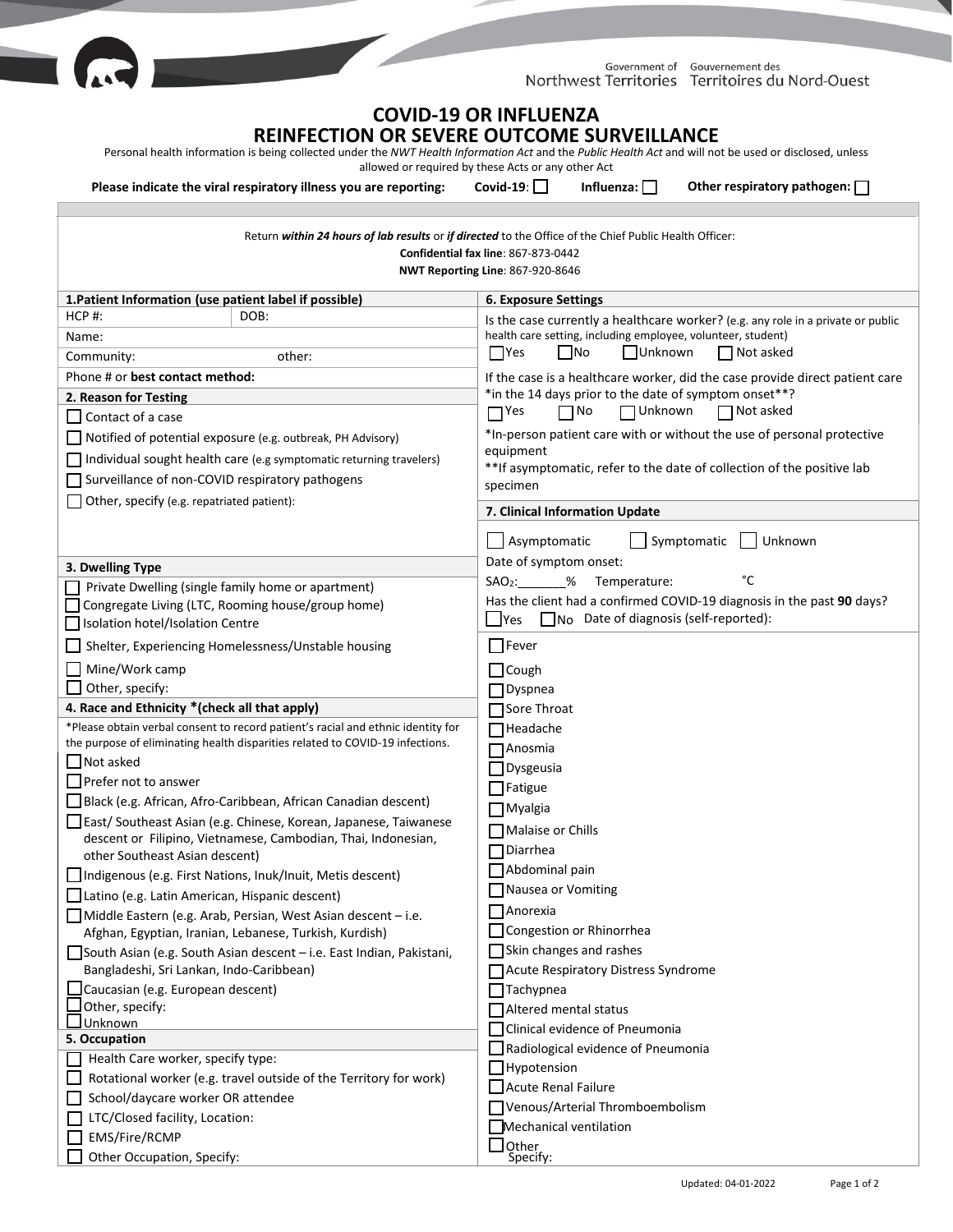